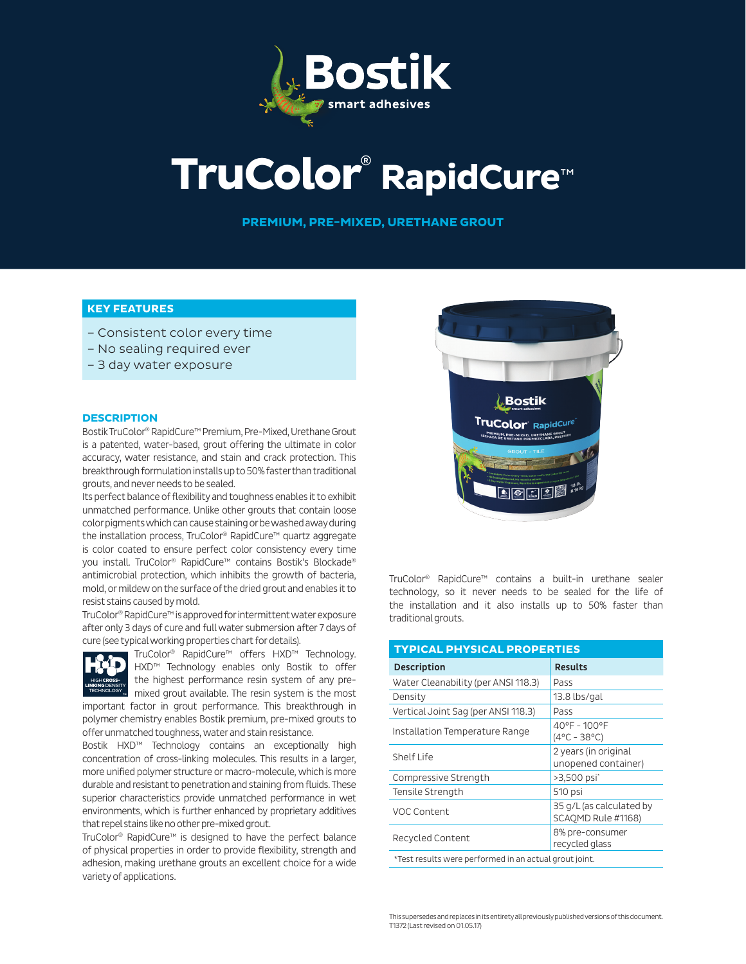

# **TruColor**® **RapidCure**™

**PREMIUM, PRE-MIXED, URETHANE GROUT**

### **KEY FEATURES**

- Consistent color every time
- No sealing required ever
- 3 day water exposure

#### **DESCRIPTION**

Bostik TruColor® RapidCure™ Premium, Pre-Mixed, Urethane Grout is a patented, water-based, grout offering the ultimate in color accuracy, water resistance, and stain and crack protection. This breakthrough formulation installs up to 50% faster than traditional grouts, and never needs to be sealed.

Its perfect balance of flexibility and toughness enables it to exhibit unmatched performance. Unlike other grouts that contain loose color pigments which can cause staining or be washed away during the installation process, TruColor® RapidCure™ quartz aggregate is color coated to ensure perfect color consistency every time you install. TruColor® RapidCure™ contains Bostik's Blockade® antimicrobial protection, which inhibits the growth of bacteria, mold, or mildew on the surface of the dried grout and enables it to resist stains caused by mold.

TruColor® RapidCure™ is approved for intermittent water exposure after only 3 days of cure and full water submersion after 7 days of cure (see typical working properties chart for details).



TruColor® RapidCure™ offers HXD™ Technology. HXD™ Technology enables only Bostik to offer the highest performance resin system of any premixed grout available. The resin system is the most

important factor in grout performance. This breakthrough in polymer chemistry enables Bostik premium, pre-mixed grouts to offer unmatched toughness, water and stain resistance.

Bostik HXD™ Technology contains an exceptionally high concentration of cross-linking molecules. This results in a larger, more unified polymer structure or macro-molecule, which is more durable and resistant to penetration and staining from fluids. These superior characteristics provide unmatched performance in wet environments, which is further enhanced by proprietary additives that repel stains like no other pre-mixed grout.

TruColor® RapidCure™ is designed to have the perfect balance of physical properties in order to provide flexibility, strength and adhesion, making urethane grouts an excellent choice for a wide variety of applications.



TruColor® RapidCure™ contains a built-in urethane sealer technology, so it never needs to be sealed for the life of the installation and it also installs up to 50% faster than traditional grouts.

| <b>TYPICAL PHYSICAL PROPERTIES</b>                     |                                                |  |  |  |  |
|--------------------------------------------------------|------------------------------------------------|--|--|--|--|
| <b>Description</b>                                     | <b>Results</b>                                 |  |  |  |  |
| Water Cleanability (per ANSI 118.3)                    | Pass                                           |  |  |  |  |
| Density                                                | 13.8 lbs/gal                                   |  |  |  |  |
| Vertical Joint Sag (per ANSI 118.3)                    | Pass                                           |  |  |  |  |
| Installation Temperature Range                         | 40°F - 100°F<br>$(4^{\circ}C - 38^{\circ}C)$   |  |  |  |  |
| Shelf Life                                             | 2 years (in original<br>unopened container)    |  |  |  |  |
| Compressive Strength                                   | >3,500 psi <sup>*</sup>                        |  |  |  |  |
| Tensile Strength                                       | 510 psi                                        |  |  |  |  |
| VOC Content                                            | 35 g/L (as calculated by<br>SCAOMD Rule #1168) |  |  |  |  |
| Recycled Content                                       | 8% pre-consumer<br>recycled glass              |  |  |  |  |
| *Test results were performed in an actual grout joint. |                                                |  |  |  |  |

This supersedes and replaces in its entirety all previously published versions of this document. T1372 (Last revised on 01.05.17)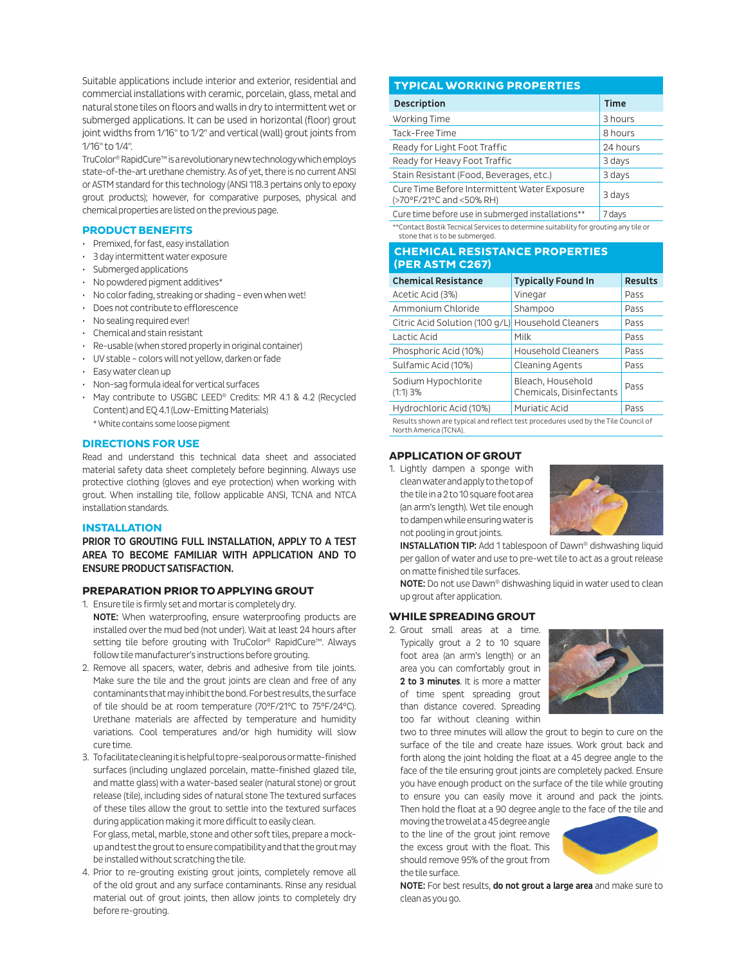Suitable applications include interior and exterior, residential and commercial installations with ceramic, porcelain, glass, metal and natural stone tiles on floors and walls in dry to intermittent wet or submerged applications. It can be used in horizontal (floor) grout joint widths from 1/16" to 1/2" and vertical (wall) grout joints from 1/16" to 1/4".

TruColor® RapidCure™ is a revolutionary new technology which employs state-of-the-art urethane chemistry. As of yet, there is no current ANSI or ASTM standard for this technology (ANSI 118.3 pertains only to epoxy grout products); however, for comparative purposes, physical and chemical properties are listed on the previous page.

#### **PRODUCT BENEFITS**

- Premixed, for fast, easy installation
- 3 day intermittent water exposure
- Submerged applications
- No powdered pigment additives\*
- No color fading, streaking or shading even when wet!
- Does not contribute to efflorescence
- No sealing required ever!
- Chemical and stain resistant
- Re-usable (when stored properly in original container)
- UV stable colors will not yellow, darken or fade
- Easy water clean up
- Non-sag formula ideal for vertical surfaces
- May contribute to USGBC LEED® Credits: MR 4.1 & 4.2 (Recycled Content) and EQ 4.1 (Low-Emitting Materials) \* White contains some loose pigment

#### **DIRECTIONS FOR USE**

Read and understand this technical data sheet and associated material safety data sheet completely before beginning. Always use protective clothing (gloves and eye protection) when working with grout. When installing tile, follow applicable ANSI, TCNA and NTCA installation standards.

#### **INSTALLATION**

PRIOR TO GROUTING FULL INSTALLATION, APPLY TO A TEST AREA TO BECOME FAMILIAR WITH APPLICATION AND TO ENSURE PRODUCT SATISFACTION.

#### **PREPARATION PRIOR TO APPLYING GROUT**

- 1. Ensure tile is firmly set and mortar is completely dry.
- NOTE: When waterproofing, ensure waterproofing products are installed over the mud bed (not under). Wait at least 24 hours after setting tile before grouting with TruColor® RapidCure™. Always follow tile manufacturer's instructions before grouting.
- 2. Remove all spacers, water, debris and adhesive from tile joints. Make sure the tile and the grout joints are clean and free of any contaminants that may inhibit the bond. For best results, the surface of tile should be at room temperature (70°F/21°C to 75°F/24°C). Urethane materials are affected by temperature and humidity variations. Cool temperatures and/or high humidity will slow cure time.
- 3. To facilitate cleaning it is helpful to pre-seal porous or matte-finished surfaces (including unglazed porcelain, matte-finished glazed tile, and matte glass) with a water-based sealer (natural stone) or grout release (tile), including sides of natural stone The textured surfaces of these tiles allow the grout to settle into the textured surfaces during application making it more difficult to easily clean.

For glass, metal, marble, stone and other soft tiles, prepare a mockup and test the grout to ensure compatibility and that the grout may be installed without scratching the tile.

4. Prior to re-grouting existing grout joints, completely remove all of the old grout and any surface contaminants. Rinse any residual material out of grout joints, then allow joints to completely dry before re-grouting.

#### **TYPICAL WORKING PROPERTIES**

| <b>Description</b>                                                       | <b>Time</b> |
|--------------------------------------------------------------------------|-------------|
| Working Time                                                             | 3 hours     |
| Tack-Free Time                                                           | 8 hours     |
| Ready for Light Foot Traffic                                             | 24 hours    |
| Ready for Heavy Foot Traffic                                             | 3 days      |
| Stain Resistant (Food, Beverages, etc.)                                  | 3 days      |
| Cure Time Before Intermittent Water Exposure<br>(>70°F/21°C and <50% RH) | 3 days      |
| Cure time before use in submerged installations**                        | 7 days      |

\*\*Contact Bostik Tecnical Services to determine suitability for grouting any tile or stone that is to be submerged.

#### **CHEMICAL RESISTANCE PROPERTIES (PER ASTM C267)**

| <b>Chemical Resistance</b>        | <b>Typically Found In</b>                     | <b>Results</b> |  |  |  |
|-----------------------------------|-----------------------------------------------|----------------|--|--|--|
| Acetic Acid (3%)                  | Vinegar                                       | Pass           |  |  |  |
| Ammonium Chloride                 | Shampoo                                       | Pass           |  |  |  |
| Citric Acid Solution (100 g/L)    | <b>Household Cleaners</b>                     | Pass           |  |  |  |
| Lactic Acid                       | Milk                                          | Pass           |  |  |  |
| Phosphoric Acid (10%)             | <b>Household Cleaners</b>                     | Pass           |  |  |  |
| Sulfamic Acid (10%)               | Cleaning Agents                               | Pass           |  |  |  |
| Sodium Hypochlorite<br>$(1:1)$ 3% | Bleach, Household<br>Chemicals, Disinfectants | Pass           |  |  |  |
| Hydrochloric Acid (10%)           | Muriatic Acid                                 | Pass           |  |  |  |
|                                   |                                               |                |  |  |  |

Results shown are typical and reflect test procedures used by the Tile Council of North America (TCNA).

#### **APPLICATION OF GROUT**

1. Lightly dampen a sponge with clean water and apply to the top of the tile in a 2 to 10 square foot area (an arm's length). Wet tile enough to dampen while ensuring water is not pooling in grout joints.



INSTALLATION TIP: Add 1 tablespoon of Dawn® dishwashing liquid per gallon of water and use to pre-wet tile to act as a grout release on matte finished tile surfaces.

NOTE: Do not use Dawn® dishwashing liquid in water used to clean up grout after application.

#### **WHILE SPREADING GROUT**

2. Grout small areas at a time. Typically grout a 2 to 10 square foot area (an arm's length) or an area you can comfortably grout in 2 to 3 minutes. It is more a matter of time spent spreading grout than distance covered. Spreading too far without cleaning within



two to three minutes will allow the grout to begin to cure on the surface of the tile and create haze issues. Work grout back and forth along the joint holding the float at a 45 degree angle to the face of the tile ensuring grout joints are completely packed. Ensure you have enough product on the surface of the tile while grouting to ensure you can easily move it around and pack the joints. Then hold the float at a 90 degree angle to the face of the tile and

moving the trowel at a 45 degree angle to the line of the grout joint remove the excess grout with the float. This should remove 95% of the grout from the tile surface.



NOTE: For best results, do not grout a large area and make sure to clean as you go.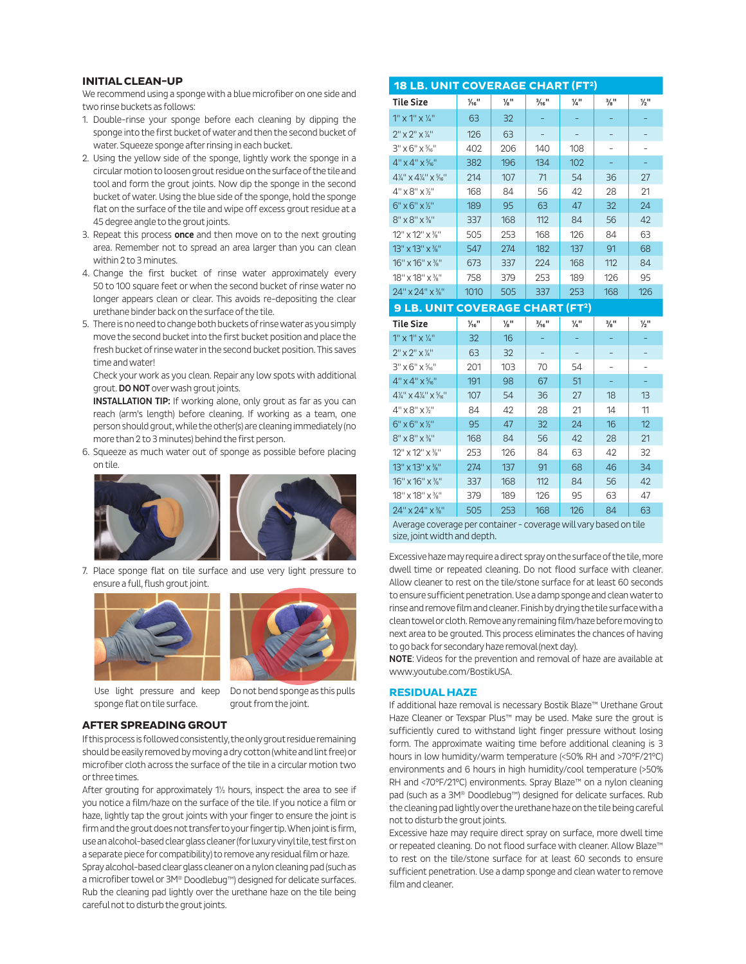#### **INITIAL CLEAN-UP**

We recommend using a sponge with a blue microfiber on one side and two rinse buckets as follows:

- 1. Double-rinse your sponge before each cleaning by dipping the sponge into the first bucket of water and then the second bucket of water. Squeeze sponge after rinsing in each bucket.
- 2. Using the yellow side of the sponge, lightly work the sponge in a circular motion to loosen grout residue on the surface of the tile and tool and form the grout joints. Now dip the sponge in the second bucket of water. Using the blue side of the sponge, hold the sponge flat on the surface of the tile and wipe off excess grout residue at a 45 degree angle to the grout joints.
- 3. Repeat this process once and then move on to the next grouting area. Remember not to spread an area larger than you can clean within 2 to 3 minutes.
- 4. Change the first bucket of rinse water approximately every 50 to 100 square feet or when the second bucket of rinse water no longer appears clean or clear. This avoids re-depositing the clear urethane binder back on the surface of the tile.
- 5. There is no need to change both buckets of rinse water as you simply move the second bucket into the first bucket position and place the fresh bucket of rinse water in the second bucket position. This saves time and water!

Check your work as you clean. Repair any low spots with additional grout. DO NOT over wash grout joints.

INSTALLATION TIP: If working alone, only grout as far as you can reach (arm's length) before cleaning. If working as a team, one person should grout, while the other(s) are cleaning immediately (no more than 2 to 3 minutes) behind the first person.

6. Squeeze as much water out of sponge as possible before placing on tile.



7. Place sponge flat on tile surface and use very light pressure to ensure a full, flush grout joint.





Use light pressure and keep sponge flat on tile surface.

Do not bend sponge as this pulls grout from the joint.

#### **AFTER SPREADING GROUT** If this process is followed consistently, the only grout residue remaining should be easily removed by moving a dry cotton (white and lint free) or microfiber cloth across the surface of the tile in a circular motion two or three times.

After grouting for approximately 1½ hours, inspect the area to see if you notice a film/haze on the surface of the tile. If you notice a film or haze, lightly tap the grout joints with your finger to ensure the joint is firm and the grout does not transfer to your finger tip. When joint is firm, use an alcohol-based clear glass cleaner (for luxury vinyl tile, test first on a separate piece for compatibility) to remove any residual film or haze.

Spray alcohol-based clear glass cleaner on a nylon cleaning pad (such as a microfiber towel or 3M® Doodlebug™) designed for delicate surfaces. Rub the cleaning pad lightly over the urethane haze on the tile being careful not to disturb the grout joints.

| <b>18 LB. UNIT COVERAGE CHART (FT2)</b>                              |                              |                 |                              |                 |                             |                             |
|----------------------------------------------------------------------|------------------------------|-----------------|------------------------------|-----------------|-----------------------------|-----------------------------|
| <b>Tile Size</b>                                                     | $\frac{1}{16}$ <sup>11</sup> | $\frac{1}{8}$ " | $\frac{3}{16}$ <sup>11</sup> | $\frac{1}{4}$ " | $\frac{3}{8}$ <sup>11</sup> | $\frac{1}{2}$ <sup>11</sup> |
| $1''$ x $1''$ x $\frac{1}{4}''$                                      | 63                           | 32              |                              |                 |                             |                             |
| $2''$ x $2''$ x $\frac{1}{4}''$                                      | 126                          | 63              |                              |                 |                             |                             |
| $3'' \times 6'' \times \frac{5}{16}$                                 | 402                          | 206             | 140                          | 108             | $\overline{\phantom{0}}$    | $\overline{a}$              |
| $4" \times 4" \times \frac{5}{16}$                                   | 382                          | 196             | 134                          | 102             | ÷                           | ÷                           |
| $4\frac{1}{4}$ " x $4\frac{1}{4}$ " x $\frac{5}{16}$ "               | 214                          | 107             | 71                           | 54              | 36                          | 27                          |
| $4" \times 8" \times 7"$                                             | 168                          | 84              | 56                           | 42              | 28                          | 21                          |
| $6" \times 6" \times 7"$                                             | 189                          | 95              | 63                           | 47              | 32                          | 24                          |
| 8" x 8" x %"                                                         | 337                          | 168             | 112                          | 84              | 56                          | 42                          |
| 12" x 12" x %"                                                       | 505                          | 253             | 168                          | 126             | 84                          | 63                          |
| 13" x 13" x %"                                                       | 547                          | 274             | 182                          | 137             | 91                          | 68                          |
| 16" x 16" x %"                                                       | 673                          | 337             | 224                          | 168             | 112                         | 84                          |
| 18" x 18" x %"                                                       | 758                          | 379             | 253                          | 189             | 126                         | 95                          |
| 24" x 24" x %"                                                       | 1010                         | 505             | 337                          | 253             | 168                         | 126                         |
| <b>9 LB. UNIT COVERAGE CHART (FT2)</b>                               |                              |                 |                              |                 |                             |                             |
|                                                                      |                              |                 |                              |                 |                             |                             |
| <b>Tile Size</b>                                                     | $\frac{1}{16}$ <sup>11</sup> | $\frac{1}{8}$ " | $\frac{3}{16}$ <sup>11</sup> | $\frac{1}{4}$ " | $\frac{3}{8}$ <sup>11</sup> | $\frac{1}{2}$ <sup>11</sup> |
| $1''$ x $1''$ x $\frac{1}{4}''$                                      | 32                           | 16              |                              | ÷               |                             |                             |
| $2" \times 2" \times 7"$                                             | 63                           | 32              |                              |                 |                             |                             |
| $3'' \times 6'' \times \frac{5}{16}$                                 | 201                          | 103             | 70                           | 54              | -                           | $\overline{\phantom{0}}$    |
| $4" \times 4" \times \frac{5}{16}$                                   | 191                          | 98              | 67                           | 51              |                             |                             |
| $4\frac{1}{4}$ " $\times$ $4\frac{1}{4}$ " $\times$ $\frac{5}{16}$ " | 107                          | 54              | 36                           | 27              | 18                          | 13                          |
| $4" \times 8" \times 12"$                                            | 84                           | 42              | 28                           | 21              | 14                          | 11                          |
| $6" \times 6" \times 7"$                                             | 95                           | 47              | 32                           | 24              | 16                          | 12                          |
| $8" \times 8" \times 3"$                                             | 168                          | 84              | 56                           | 42              | 28                          | 21                          |
| 12" x 12" x %"                                                       | 253                          | 126             | 84                           | 63              | 42                          | 32                          |
| 13" x 13" x %"                                                       | 274                          | 137             | 91                           | 68              | 46                          | 34                          |
| 16" x 16" x %"                                                       | 337                          | 168             | 112                          | 84              | 56                          | 42                          |
| 18" x 18" x %"                                                       | 379                          | 189             | 126                          | 95              | 63                          | 47                          |
| 24" x 24" x %"                                                       | 505                          | 253             | 168                          | 126             | 84                          | 63                          |

size, joint width and depth.

Excessive haze may require a direct spray on the surface of the tile, more dwell time or repeated cleaning. Do not flood surface with cleaner. Allow cleaner to rest on the tile/stone surface for at least 60 seconds to ensure sufficient penetration. Use a damp sponge and clean water to rinse and remove film and cleaner. Finish by drying the tile surface with a clean towel or cloth. Remove any remaining film/haze before moving to next area to be grouted. This process eliminates the chances of having to go back for secondary haze removal (next day).

NOTE: Videos for the prevention and removal of haze are available at www.youtube.com/BostikUSA.

#### **RESIDUAL HAZE**

If additional haze removal is necessary Bostik Blaze™ Urethane Grout Haze Cleaner or Texspar Plus™ may be used. Make sure the grout is sufficiently cured to withstand light finger pressure without losing form. The approximate waiting time before additional cleaning is 3 hours in low humidity/warm temperature (<50% RH and >70°F/21°C) environments and 6 hours in high humidity/cool temperature (>50% RH and <70°F/21°C) environments. Spray Blaze™ on a nylon cleaning pad (such as a 3M® Doodlebug™) designed for delicate surfaces. Rub the cleaning pad lightly over the urethane haze on the tile being careful not to disturb the grout joints.

Excessive haze may require direct spray on surface, more dwell time or repeated cleaning. Do not flood surface with cleaner. Allow Blaze™ to rest on the tile/stone surface for at least 60 seconds to ensure sufficient penetration. Use a damp sponge and clean water to remove film and cleaner.